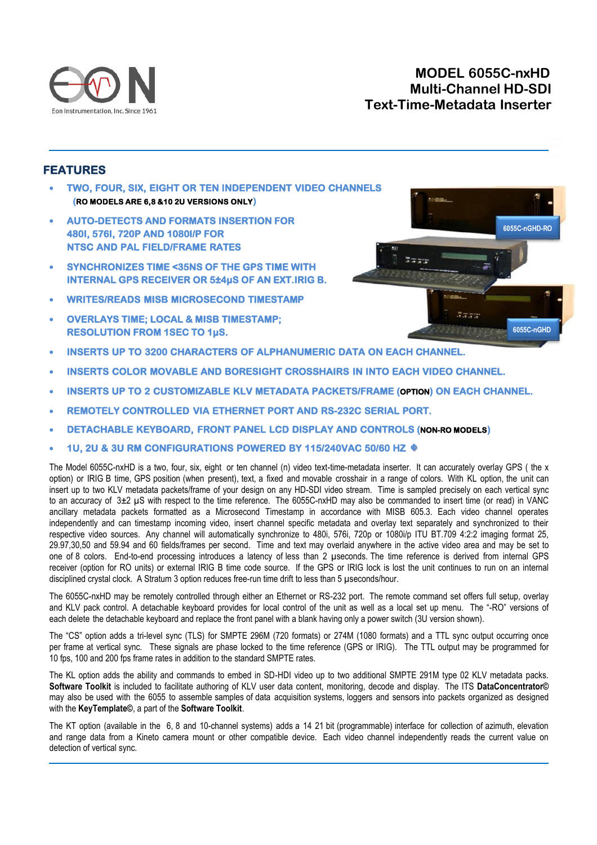

## **MODEL 6055C-nxHD Multi-Channel HD-SDI Text-Time-Metadata Inserter**

## **FEATURES**

- **TWO, FOUR, SIX, EIGHT OR TEN INDEPENDENT VIDEO CHANNELS RO MODELS ARE 6,8 &10 2U VERSIONS ONLY**
- **AUTO-DETECTS AND FORMATS INSERTION FOR 480I, 576I, 720P AND 1080I/P FOR NTSC AND PAL FIELD/FRAME RATES**
- **SYNCHRONIZES TIME <35NS OF THE GPS TIME WITH INTERNAL GPS RECEIVER OR 5±4µS OF AN EXT.IRIG B.**
- **WRITES/READS MISB MICROSECOND TIMESTAMP**
- **OVERLAYS TIME; LOCAL & MISB TIMESTAMP; RESOLUTION FROM 1SEC TO 1µS.**
- **6055C-nGHD-RO 6055C-nGHD**
- **INSERTS UP TO 3200 CHARACTERS OF ALPHANUMERIC DATA ON EACH CHANNEL.**
- **INSERTS COLOR MOVABLE AND BORESIGHT CROSSHAIRS IN INTO EACH VIDEO CHANNEL.**
- **INSERTS UP TO 2 CUSTOMIZABLE KLV METADATA PACKETS/FRAME (OPTION) ON EACH CHANNEL.**
- **REMOTELY CONTROLLED VIA ETHERNET PORT AND RS-232C SERIAL PORT.**
- **DETACHABLE KEYBOARD, FRONT PANEL LCD DISPLAY AND CONTROLS (NON-RO MODELS)**
- **1U, 2U & 3U RM CONFIGURATIONS POWERED BY 115/240VAC 50/60 HZ**

The Model 6055C-nxHD is a two, four, six, eight or ten channel (n) video text-time-metadata inserter. It can accurately overlay GPS ( the x option) or IRIG B time, GPS position (when present), text, a fixed and movable crosshair in a range of colors. With KL option, the unit can insert up to two KLV metadata packets/frame of your design on any HD-SDI video stream. Time is sampled precisely on each vertical sync to an accuracy of  $3\pm2$  µS with respect to the time reference. The 6055C-nxHD may also be commanded to insert time (or read) in VANC ancillary metadata packets formatted as a Microsecond Timestamp in accordance with MISB 605.3. Each video channel operates independently and can timestamp incoming video, insert channel specific metadata and overlay text separately and synchronized to their respective video sources. Any channel will automatically synchronize to 480i, 576i, 720p or 1080i/p ITU BT.709 4:2:2 imaging format 25, 29.97,30,50 and 59.94 and 60 fields/frames per second. Time and text may overlaid anywhere in the active video area and may be set to one of 8 colors. End-to-end processing introduces a latency of less than 2 µseconds. The time reference is derived from internal GPS receiver (option for RO units) or external IRIG B time code source. If the GPS or IRIG lock is lost the unit continues to run on an internal disciplined crystal clock. A Stratum 3 option reduces free-run time drift to less than 5 µseconds/hour.

The 6055C-nxHD may be remotely controlled through either an Ethernet or RS-232 port. The remote command set offers full setup, overlay and KLV pack control. A detachable keyboard provides for local control of the unit as well as a local set up menu. The "-RO" versions of each delete the detachable keyboard and replace the front panel with a blank having only a power switch (3U version shown).

The "CS" option adds a tri-level sync (TLS) for SMPTE 296M (720 formats) or 274M (1080 formats) and a TTL sync output occurring once per frame at vertical sync. These signals are phase locked to the time reference (GPS or IRIG). The TTL output may be programmed for 10 fps, 100 and 200 fps frame rates in addition to the standard SMPTE rates.

The KL option adds the ability and commands to embed in SD-HDI video up to two additional SMPTE 291M type 02 KLV metadata packs. **Software Toolkit** is included to facilitate authoring of KLV user data content, monitoring, decode and display. The ITS **DataConcentrator©** may also be used with the 6055 to assemble samples of data acquisition systems, loggers and sensors into packets organized as designed with the **KeyTemplate©**, a part of the **Software Toolkit**.

The KT option (available in the 6, 8 and 10-channel systems) adds a 14 21 bit (programmable) interface for collection of azimuth, elevation and range data from a Kineto camera mount or other compatible device. Each video channel independently reads the current value on detection of vertical sync.